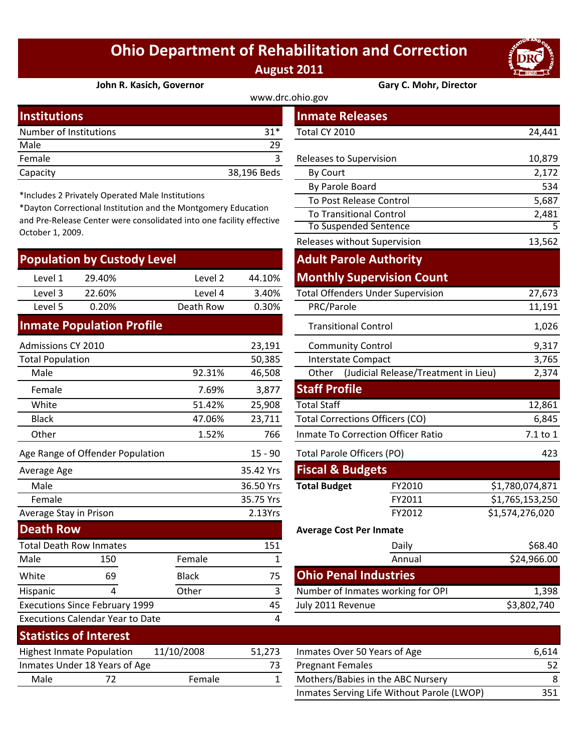## **Ohio Department of Rehabilitation and Correction August 2011**



**John R. Kasich, Governor Gary C. Mohr, Director**

| www.drc.ohio.gov       |             |                         |        |  |  |
|------------------------|-------------|-------------------------|--------|--|--|
| <b>Institutions</b>    |             | <b>Inmate Releases</b>  |        |  |  |
| Number of Institutions | $31*$       | Total CY 2010           | 24,441 |  |  |
| Male                   | 29          |                         |        |  |  |
| Female                 |             | Releases to Supervision | 10,879 |  |  |
| Capacity               | 38,196 Beds | By Court                | 2,172  |  |  |

\*Includes 2 Privately Operated Male Institutions

\*Dayton Correctional Institution and the Montgomery Education and Pre‐Release Center were consolidated into one facility effective October 1, 2009.

| <b>Population by Custody Level</b> |        |           |        |  |  |  |
|------------------------------------|--------|-----------|--------|--|--|--|
| Level 1                            | 29.40% | Level 2   | 44.10% |  |  |  |
| Level 3                            | 22.60% | Level 4   | 3.40%  |  |  |  |
| Level 5                            | 0.20%  | Death Row | 0.30%  |  |  |  |
|                                    |        |           |        |  |  |  |

## **Inmate Population Profile**

| Admissions CY 2010<br>23,191     |        |           | <b>Community Control</b>           |                                      | 9,317           |
|----------------------------------|--------|-----------|------------------------------------|--------------------------------------|-----------------|
| <b>Total Population</b>          |        | 50,385    |                                    | <b>Interstate Compact</b>            | 3,765           |
| Male                             | 92.31% | 46,508    | Other                              | (Judicial Release/Treatment in Lieu) | 2,374           |
| Female                           | 7.69%  | 3,877     | <b>Staff Profile</b>               |                                      |                 |
| White                            | 51.42% | 25,908    | <b>Total Staff</b>                 |                                      | 12,861          |
| <b>Black</b>                     | 47.06% | 23,711    | Total Corrections Officers (CO)    | 6,845                                |                 |
| Other                            | 1.52%  | 766       | Inmate To Correction Officer Ratio | 7.1 to 1                             |                 |
| Age Range of Offender Population |        | $15 - 90$ |                                    | Total Parole Officers (PO)           | 423             |
| Average Age                      |        | 35.42 Yrs | <b>Fiscal &amp; Budgets</b>        |                                      |                 |
| Male                             |        | 36.50 Yrs | <b>Total Budget</b>                | FY2010                               | \$1,780,074,871 |
| Female                           |        | 35.75 Yrs |                                    | FY2011                               | \$1,765,153,250 |
| Average Stay in Prison           |        | 2.13Yrs   |                                    | FY2012                               | \$1,574,276,020 |
| <b>Death Row</b>                 |        |           |                                    | <b>Average Cost Per Inmate</b>       |                 |
| <b>Total Death Row Inmates</b>   |        | 151       |                                    | Daily                                | \$68.40         |

| Total Death Row Inmates          |                                         |              | 12 T   | Dally                        |
|----------------------------------|-----------------------------------------|--------------|--------|------------------------------|
| Male                             | 150                                     | Female       |        | Annual                       |
| White                            | 69                                      | <b>Black</b> | 75     | <b>Ohio Penal Industries</b> |
| Hispanic                         |                                         | Other        | 3      | Number of Inmates working f  |
|                                  | <b>Executions Since February 1999</b>   |              | 45     | July 2011 Revenue            |
|                                  | <b>Executions Calendar Year to Date</b> |              | 4      |                              |
| <b>Statistics of Interest</b>    |                                         |              |        |                              |
| <b>Highest Inmate Population</b> |                                         | 11/10/2008   | 51,273 | Inmates Over 50 Years of Age |
|                                  | Inmates Under 18 Years of Age           |              | 73     | <b>Pregnant Females</b>      |
| Male                             | 72                                      | Female       |        | Mothers/Babies in the ABC N  |
|                                  |                                         |              |        |                              |

| stitutions                                                                                                  |              |                | <b>Inmate Releases</b>                   |                                      |                 |
|-------------------------------------------------------------------------------------------------------------|--------------|----------------|------------------------------------------|--------------------------------------|-----------------|
| mber of Institutions                                                                                        |              | $31*$          | Total CY 2010                            |                                      | 24,441          |
| le                                                                                                          |              | 29             |                                          |                                      |                 |
| nale                                                                                                        |              | 3              | Releases to Supervision                  |                                      | 10,879          |
| acity                                                                                                       |              | 38,196 Beds    | By Court                                 |                                      | 2,172           |
|                                                                                                             |              |                | By Parole Board                          |                                      | 534             |
| cludes 2 Privately Operated Male Institutions<br>yton Correctional Institution and the Montgomery Education |              |                | To Post Release Control                  |                                      | 5,687           |
| Pre-Release Center were consolidated into one facility effective                                            |              |                | <b>To Transitional Control</b>           |                                      | 2,481           |
| ober 1, 2009.                                                                                               |              |                | To Suspended Sentence                    |                                      | $\overline{5}$  |
|                                                                                                             |              |                | Releases without Supervision             |                                      | 13,562          |
| pulation by Custody Level                                                                                   |              |                | <b>Adult Parole Authority</b>            |                                      |                 |
| Level 1<br>29.40%                                                                                           | Level 2      | 44.10%         | <b>Monthly Supervision Count</b>         |                                      |                 |
| Level 3<br>22.60%                                                                                           | Level 4      | 3.40%          | <b>Total Offenders Under Supervision</b> |                                      | 27,673          |
| Level 5<br>0.20%                                                                                            | Death Row    | 0.30%          | PRC/Parole                               |                                      | 11,191          |
| nate Population Profile                                                                                     |              |                | <b>Transitional Control</b>              |                                      | 1,026           |
| nissions CY 2010                                                                                            |              | 23,191         | <b>Community Control</b>                 |                                      | 9,317           |
| al Population                                                                                               |              | 50,385         | <b>Interstate Compact</b>                |                                      | 3,765           |
| Male                                                                                                        | 92.31%       | 46,508         | Other                                    | (Judicial Release/Treatment in Lieu) | 2,374           |
| Female                                                                                                      | 7.69%        | 3,877          | <b>Staff Profile</b>                     |                                      |                 |
| White                                                                                                       | 51.42%       | 25,908         | <b>Total Staff</b>                       |                                      | 12,861          |
| <b>Black</b>                                                                                                | 47.06%       | 23,711         | <b>Total Corrections Officers (CO)</b>   |                                      | 6,845           |
| <b>Other</b>                                                                                                | 1.52%        | 766            | Inmate To Correction Officer Ratio       |                                      | 7.1 to 1        |
| Range of Offender Population                                                                                |              | $15 - 90$      | <b>Total Parole Officers (PO)</b>        |                                      | 423             |
| rage Age                                                                                                    |              | 35.42 Yrs      | <b>Fiscal &amp; Budgets</b>              |                                      |                 |
| Male                                                                                                        |              | 36.50 Yrs      | <b>Total Budget</b>                      | FY2010                               | \$1,780,074,871 |
| Female                                                                                                      |              | 35.75 Yrs      |                                          | FY2011                               | \$1,765,153,250 |
| rage Stay in Prison                                                                                         |              | 2.13Yrs        |                                          | FY2012                               | \$1,574,276,020 |
| ath Row                                                                                                     |              |                | <b>Average Cost Per Inmate</b>           |                                      |                 |
| al Death Row Inmates                                                                                        |              | 151            |                                          | Daily                                | \$68.40         |
| le<br>150                                                                                                   | Female       | $\mathbf{1}$   |                                          | Annual                               | \$24,966.00     |
| 69<br>ite                                                                                                   | <b>Black</b> | 75             | <b>Ohio Penal Industries</b>             |                                      |                 |
| 4<br>panic                                                                                                  | Other        | $\overline{3}$ | Number of Inmates working for OPI        |                                      | 1,398           |
| cutions Since February 1999                                                                                 |              | 45             | July 2011 Revenue                        |                                      | \$3,802,740     |
| cutions Calendar Year to Date                                                                               |              | 4              |                                          |                                      |                 |

| <b>JIALISLIUS UI IIILEI ESL</b>                |                               |               |                              |                                            |     |
|------------------------------------------------|-------------------------------|---------------|------------------------------|--------------------------------------------|-----|
| 11/10/2008<br><b>Highest Inmate Population</b> |                               | 51.273        | Inmates Over 50 Years of Age | 6.614                                      |     |
|                                                | Inmates Under 18 Years of Age |               |                              | <b>Pregnant Females</b>                    | 52  |
| Male                                           |                               | <b>Female</b> |                              | Mothers/Babies in the ABC Nursery          | 8   |
|                                                |                               |               |                              | Inmates Serving Life Without Parole (LWOP) | 351 |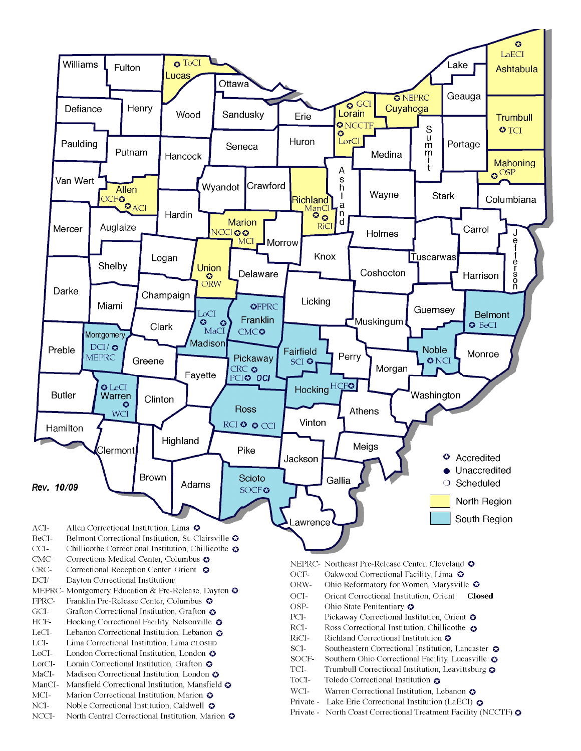